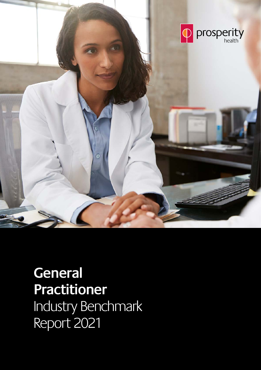

# **General Practitioner** Industry Benchmark Report 2021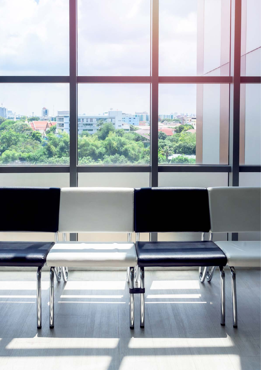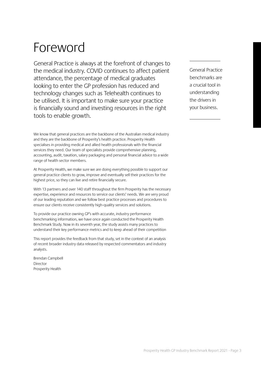## Foreword

General Practice is always at the forefront of changes to the medical industry. COVID continues to affect patient attendance, the percentage of medical graduates looking to enter the GP profession has reduced and technology changes such as Telehealth continues to be utilised. It is important to make sure your practice is financially sound and investing resources in the right tools to enable growth.

We know that general practices are the backbone of the Australian medical industry and they are the backbone of Prosperity's health practice. Prosperity Health specialises in providing medical and allied health professionals with the financial services they need. Our team of specialists provide comprehensive planning, accounting, audit, taxation, salary packaging and personal financial advice to a wide range of health sector members.

At Prosperity Health, we make sure we are doing everything possible to support our general practice clients to grow, improve and eventually sell their practices for the highest price, so they can live and retire financially secure.

With 13 partners and over 140 staff throughout the firm Prosperity has the necessary expertise, experience and resources to service our clients' needs. We are very proud of our leading reputation and we follow best practice processes and procedures to ensure our clients receive consistently high-quality services and solutions.

To provide our practice owning GP's with accurate, industry performance benchmarking information, we have once again conducted the Prosperity Health Benchmark Study. Now in its seventh year, the study assists many practices to understand their key performance metrics and to keep ahead of their competition

This report provides the feedback from that study, set in the context of an analysis of recent broader industry data released by respected commentators and industry analysts.

Brendan Campbell Director Prosperity Health

General Practice benchmarks are a crucial tool in understanding the drivers in your business.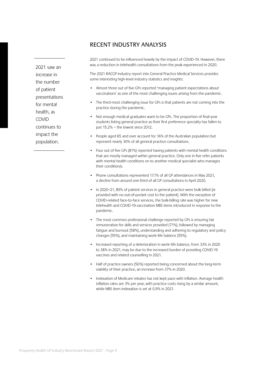## RECENT INDUSTRY ANALYSIS

2021 saw an increase in the number of patient presentations for mental health, as COVID continues to impact the population.

2021 continued to be influenced heavily by the impact of COVID-19. However, there was a reduction in telehealth consultations from the peak experienced in 2020.

The 2021 RACGP industry report into General Practice Medical Services provides some interesting high-level industry statistics and insights:

- Almost three out of five GPs reported 'managing patient expectations about vaccinations' as one of the most challenging issues arising from the pandemic.
- The third-most challenging issue for GPs is that patients are not coming into the practice during the pandemic.
- Not enough medical graduates want to be GPs. The proportion of final-year students listing general practice as their first preference specialty has fallen to just 15.2% – the lowest since 2012.
- People aged 65 and over account for 16% of the Australian population but represent nearly 30% of all general practice consultations.
- Four out of five GPs (81%) reported having patients with mental health conditions that are mostly managed within general practice. Only one in five refer patients with mental health conditions on to another medical specialist who manages their condition/s.
- Phone consultations represented 17.1% of all GP attendances in May 2021, a decline from around one-third of all GP consultations in April 2020.
- In 2020–21, 89% of patient services in general practice were bulk billed (ie provided with no out-of-pocket cost to the patient). With the exception of COVID-related face-to-face services, the bulk-billing rate was higher for new telehealth and COVID-19 vaccination MBS items introduced in response to the pandemic.
- The most common professional challenge reported by GPs is ensuring fair remuneration for skills and services provided (71%), followed by managing fatigue and burnout (58%), understanding and adhering to regulatory and policy changes (55%), and maintaining work–life balance (55%).
- Increased reporting of a deterioration in work–life balance, from 33% in 2020 to 38% in 2021, may be due to the increased burden of providing COVID-19 vaccines and related counselling in 2021.
- Half of practice owners (50%) reported being concerned about the long-term viability of their practice, an increase from 37% in 2020.
- Indexation of Medicare rebates has not kept pace with inflation. Average health inflation rates are 3% per year, with practice costs rising by a similar amount, while MBS item indexation is set at 0.9% in 2021.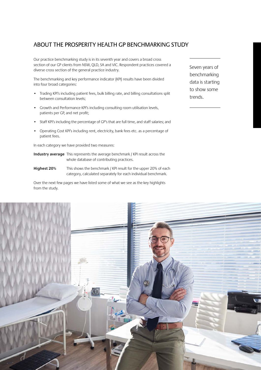## ABOUT THE PROSPERITY HEALTH GP BENCHMARKING STUDY

Our practice benchmarking study is in its seventh year and covers a broad cross section of our GP clients from NSW, QLD, SA and VIC. Respondent practices covered a diverse cross section of the general practice industry.

The benchmarking and key performance indicator (KPI) results have been divided into four broad categories:

- Trading KPI's including patient fees, bulk billing rate, and billing consultations split between consultation levels;
- Growth and Performance KPI's including consulting room utilisation levels, patients per GP, and net profit;
- Staff KPI's including the percentage of GP's that are full time, and staff salaries; and
- Operating Cost KPI's including rent, electricity, bank fees etc. as a percentage of patient fees.

In each category we have provided two measures:

**Industry average** This represents the average benchmark / KPI result across the whole database of contributing practices.

**Highest 20%** This shows the benchmark / KPI result for the upper 20% of each category, calculated separately for each individual benchmark.

Over the next few pages we have listed some of what we see as the key highlights from the study.

Seven years of benchmarking data is starting to show some trends.

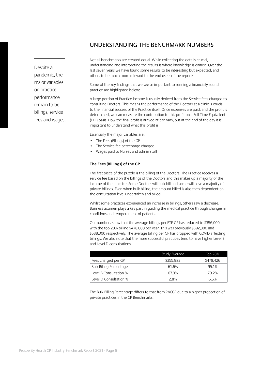### UNDERSTANDING THE BENCHMARK NUMBERS

Despite a pandemic, the major variables on practice performance remain to be billings, service fees and wages. Not all benchmarks are created equal. While collecting the data is crucial, understanding and interpreting the results is where knowledge is gained. Over the last seven years we have found some results to be interesting but expected, and others to be much more relevant to the end users of the reports.

Some of the key findings that we see as important to running a financially sound practice are highlighted below:

A large portion of Practice income is usually derived from the Service fees charged to consulting Doctors. This means the performance of the Doctors at a clinic is crucial to the financial success of the Practice itself. Once expenses are paid, and the profit is determined, we can measure the contribution to this profit on a Full Time Equivalent (FTE) basis. How the final profit is arrived at can vary, but at the end of the day it is important to understand what this profit is.

Essentially the major variables are:

- The Fees (Billings) of the GP
- The Service fee percentage charged
- Wages paid to Nurses and admin staff

#### **The Fees (Billings) of the GP**

The first piece of the puzzle is the billing of the Doctors. The Practice receives a service fee based on the billings of the Doctors and this makes up a majority of the income of the practice. Some Doctors will bulk bill and some will have a majority of private billings. Even when bulk billing, the amount billed is also then dependent on the consultation level undertaken and billed.

Whilst some practices experienced an increase in billings, others saw a decrease. Business acumen plays a key part in guiding the medical practice through changes in conditions and temperament of patients.

Our numbers show that the average billings per FTE GP has reduced to \$356,000 with the top 20% billing \$478,000 per year. This was previously \$392,000 and \$588,000 respectively. The average billing per GP has dropped with COVID affecting billings. We also note that the more successful practices tend to have higher Level B and Level D consultations.

|                                | Study Average | Top 20%   |
|--------------------------------|---------------|-----------|
| Fees charged per GP            | \$355,983     | \$478,426 |
| <b>Bulk Billing Percentage</b> | 61.6%         | 95.1%     |
| Level B Consultation %         | 67.9%         | 79.2%     |
| Level D Consultation %         | 2.8%          | 6.6%      |

The Bulk Billing Percentage differs to that from RACGP due to a higher proportion of private practices in the GP Benchmarks.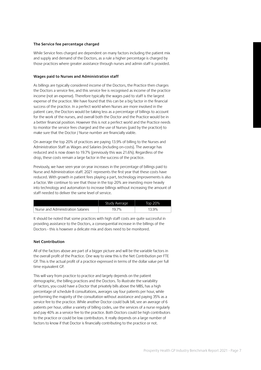#### **The Service fee percentage charged**

While Service fees charged are dependent on many factors including the patient mix and supply and demand of the Doctors, as a rule a higher percentage is charged by those practices where greater assistance through nurses and admin staff is provided.

#### **Wages paid to Nurses and Administration staff**

As billings are typically considered income of the Doctors, the Practice then charges the Doctors a service fee, and this service fee is recognised as income of the practice income (not an expense). Therefore typically the wages paid to staff is the largest expense of the practice. We have found that this can be a big factor in the financial success of the practice. In a perfect world when Nurses are more involved in the patient care, the Doctors would be taking less as a percentage of billings to account for the work of the nurses, and overall both the Doctor and the Practice would be in a better financial position. However this is not a perfect world and the Practice needs to monitor the service fees charged and the use of Nurses (paid by the practice) to make sure that the Doctor / Nurse number are financially viable.

On average the top 20% of practices are paying 13.9% of billing to the Nurses and Administration Staff as Wages and Salaries (including on-costs). The average has reduced and is now down to 19.7% (previously this was 21.6%). Regardless of the drop, these costs remain a large factor in the success of the practice.

Previously, we have seen year on year increases in the percentage of billings paid to Nurse and Administration staff. 2021 represents the first year that these costs have reduced. With growth in patient fees playing a part, technology improvements is also a factor. We continue to see that those in the top 20% are investing more heavily into technology and automation to increase billings without increasing the amount of staff needed to deliver the same level of service.

|                                   | Study Average | <b>Top 20%</b> |
|-----------------------------------|---------------|----------------|
| Nurse and Administration Salaries | 19.7%         | 13.9%          |

It should be noted that some practices with high staff costs are quite successful in providing assistance to the Doctors, a consequential increase in the billings of the Doctors - this is however a delicate mix and does need to be monitored.

#### **Net Contribution**

All of the factors above are part of a bigger picture and will be the variable factors in the overall profit of the Practice. One way to view this is the Net Contribution per FTE GP. This is the actual profit of a practice expressed in terms of the dollar value per full time equivalent GP.

This will vary from practice to practice and largely depends on the patient demographic, the billing practices and the Doctors. To illustrate the variability of factors, you could have a Doctor that privately bills above the MBS, has a high percentage of schedule B consultations, averages say four patients per hour, while performing the majority of the consultation without assistance and paying 35% as a service fee to the practice. While another Doctor could bulk bill, see an average of 6 patients per hour, utilise a variety of billing codes, use the services of a nurse regularly and pay 40% as a service fee to the practice. Both Doctors could be high contributors to the practice or could be low contributors. It really depends on a large number of factors to know if that Doctor is financially contributing to the practice or not.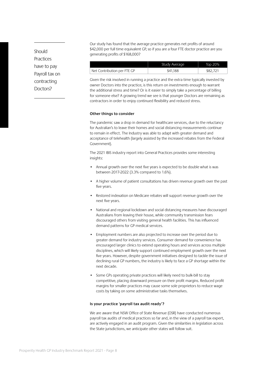Should Practices have to pay Payroll tax on contracting Doctors?

Our study has found that the average practice generates net profits of around \$42,000 per full time equivalent GP, so if you are a four FTE doctor practice are you generating profits of \$168,000?

|                             | Study Average | Top $20\%$ |
|-----------------------------|---------------|------------|
| Net Contribution per FTE GP | \$41.188      | \$82,721   |

Given the risk involved in running a practice and the extra time typically invested by owner Doctors into the practice, is this return on investments enough to warrant the additional stress and time? Or is it easier to simply take a percentage of billing for someone else? A growing trend we see is that younger Doctors are remaining as contractors in order to enjoy continued flexibility and reduced stress.

#### **Other things to consider**

The pandemic saw a drop in demand for healthcare services, due to the reluctancy for Australian's to leave their homes and social distancing measurements continue to remain in effect. The Industry was able to adapt with greater demand and acceptance of telehealth (largely assisted by the increased rebates from the Federal Government).

The 2021 IBIS industry report into General Practices provides some interesting insights:

- Annual growth over the next five years is expected to be double what is was between 2017-2022 (3.3% compared to 1.6%).
- A higher volume of patient consultations has driven revenue growth over the past five years.
- Restored indexation on Medicare rebates will support revenue growth over the next five years.
- National and regional lockdown and social distancing measures have discouraged Australians from leaving their house, while community transmission fears discouraged others from visiting general health facilities. This has influenced demand patterns for GP medical services.
- Employment numbers are also projected to increase over the period due to greater demand for industry services. Consumer demand for convenience has encouraged larger clinics to extend operating hours and services across multiple disciplines, which will likely support continued employment growth over the next five years. However, despite government initiatives designed to tackle the issue of declining rural GP numbers, the industry is likely to face a GP shortage within the next decade.
- Some GPs operating private practices will likely need to bulk-bill to stay competitive, placing downward pressure on their profit margins. Reduced profit margins for smaller practices may cause some sole proprietors to reduce wage costs by taking on some administrative tasks themselves.

#### **Is your practice 'payroll tax audit ready'?**

We are aware that NSW Office of State Revenue (OSR) have conducted numerous payroll tax audits of medical practices so far and, in the view of a payroll tax expert, are actively engaged in an audit program. Given the similarities in legislation across the State jurisdictions, we anticipate other states will follow suit.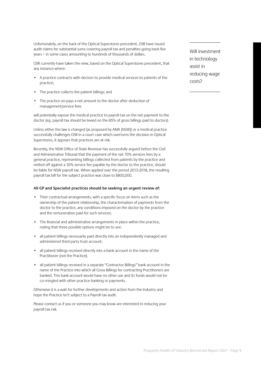Unfortunately, on the back of the Optical Superstores precedent, OSR have issued audit claims for substantial sums covering payroll tax and penalties going back five years – in some cases amounting to hundreds of thousands of dollars.

OSR currently have taken the view, based on the Optical Superstores precedent, that any instance where:

- A practice contracts with doctors to provide medical services to patients of the practice;
- The practice collects the patient billings; and
- The practice on-pays a net amount to the doctor after deduction of management/service fees

will potentially expose the medical practice to payroll tax on the net payment to the doctor (eg. payroll tax should be levied on the 65% of gross billings paid to doctors).

Unless either the law is changed (as proposed by AMA (NSW)) or a medical practice successfully challenges OSR in a court case which overturns the decision in Optical Superstores, it appears that practices are at risk.

Recently, the NSW Office of State Revenue has successfully argued before the Civil and Administrative Tribunal that the payment of the net 70% services fees by a general practice, representing billings collected from patients by the practice and netted off against a 30% service fee payable by the doctor to the practice, should be liable for NSW payroll tax. When applied over the period 2013-2018, the resulting payroll tax bill for the subject practice was close to \$800,000.

#### **All GP and Specialist practices should be seeking an urgent review of:**

- Their contractual arrangements, with a specific focus on items such as the ownership of the patient relationship, the characterisation of payments from the doctor to the practice, any conditions imposed on the doctor by the practice and the remuneration paid for such services;
- The financial and administrative arrangements in place within the practice, noting that three possible options might be to see:
- all patient billings necessarily paid directly into an independently managed and administered third-party trust account.
- all patient billings received directly into a bank account in the name of the Practitioner (not the Practice).
- all patient billings received in a separate "Contractor Billings" bank account in the name of the Practice into which all Gross Billings for contracting Practitioners are banked. This bank account would have no other use and its funds would not be co-mingled with other practice banking or payments.

Otherwise it is a wait for further developments and action from the Industry and hope the Practice isn't subject to a Payroll tax audit.

Please contact us if you or someone you may know are interested in reducing your payroll tax risk.

Will investment in technology assist in reducing wage costs?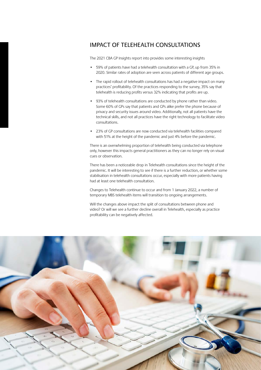## IMPACT OF TELEHEALTH CONSULTATIONS

The 2021 CBA GP Insights report into provides some interesting insights

- 59% of patients have had a telehealth consultation with a GP, up from 35% in 2020. Similar rates of adoption are seen across patients of different age groups.
- The rapid rollout of telehealth consultations has had a negative impact on many practices' profitability. Of the practices responding to the survey, 35% say that telehealth is reducing profits versus 32% indicating that profits are up.
- 93% of telehealth consultations are conducted by phone rather than video. Some 60% of GPs say that patients and GPs alike prefer the phone because of privacy and security issues around video. Additionally, not all patients have the technical skills, and not all practices have the right technology to facilitate video consultations.
- 23% of GP consultations are now conducted via telehealth facilities compared with 51% at the height of the pandemic and just 4% before the pandemic.

There is an overwhelming proportion of telehealth being conducted via telephone only, however this impacts general practitioners as they can no longer rely on visual cues or observation.

There has been a noticeable drop in Telehealth consultations since the height of the pandemic. It will be interesting to see if there is a further reduction, or whether some stabilisation in telehealth consultations occur, especially with more patients having had at least one telehealth consultation.

Changes to Telehealth continue to occur and from 1 January 2022, a number of temporary MBS telehealth items will transition to ongoing arrangements.

Will the changes above impact the split of consultations between phone and video? Or will we see a further decline overall in Telehealth, especially as practice profitability can be negatively affected.

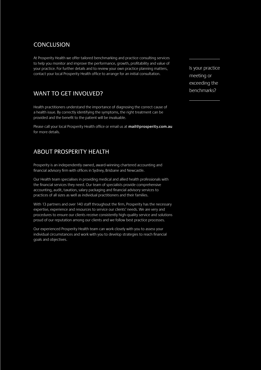## **CONCLUSION**

At Prosperity Health we offer tailored benchmarking and practice consulting services to help you monitor and improve the performance, growth, profitability and value of your practice. For further details and to review your own practice planning matters, contact your local Prosperity Health office to arrange for an initial consultation.

## WANT TO GET INVOLVED?

Health practitioners understand the importance of diagnosing the correct cause of a health issue. By correctly identifying the symptoms, the right treatment can be provided and the benefit to the patient will be invaluable.

Please call your local Prosperity Health office or email us at **mail@prosperity.com.au** for more details.

## ABOUT PROSPERITY HEALTH

Prosperity is an independently owned, award-winning chartered accounting and financial advisory firm with offices in Sydney, Brisbane and Newcastle.

Our Health team specialises in providing medical and allied health professionals with the financial services they need. Our team of specialists provide comprehensive accounting, audit, taxation, salary packaging and financial advisory services to practices of all sizes as well as individual practitioners and their families.

With 13 partners and over 140 staff throughout the firm, Prosperity has the necessary expertise, experience and resources to service our clients' needs. We are very and procedures to ensure our clients receive consistently high-quality service and solutions proud of our reputation among our clients and we follow best practice processes.

Our experienced Prosperity Health team can work closely with you to assess your individual circumstances and work with you to develop strategies to reach financial goals and objectives.

Is your practice meeting or exceeding the benchmarks?